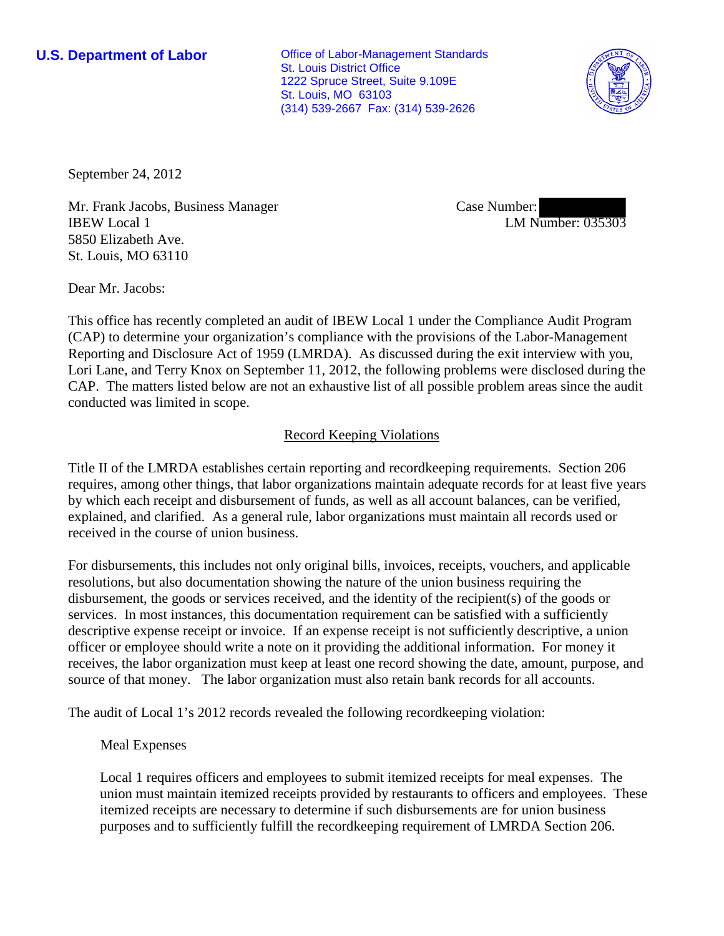**U.S. Department of Labor Conservative Conservative Conservative Conservative Conservative Conservative Conservative Conservative Conservative Conservative Conservative Conservative Conservative Conservative Conservative** St. Louis District Office 1222 Spruce Street, Suite 9.109E St. Louis, MO 63103 (314) 539-2667 Fax: (314) 539-2626



September 24, 2012

Mr. Frank Jacobs, Business Manager IBEW Local 1 5850 Elizabeth Ave. St. Louis, MO 63110

Case Number: LM Number: 035303

Dear Mr. Jacobs:

This office has recently completed an audit of IBEW Local 1 under the Compliance Audit Program (CAP) to determine your organization's compliance with the provisions of the Labor-Management Reporting and Disclosure Act of 1959 (LMRDA). As discussed during the exit interview with you, Lori Lane, and Terry Knox on September 11, 2012, the following problems were disclosed during the CAP. The matters listed below are not an exhaustive list of all possible problem areas since the audit conducted was limited in scope.

## Record Keeping Violations

Title II of the LMRDA establishes certain reporting and recordkeeping requirements. Section 206 requires, among other things, that labor organizations maintain adequate records for at least five years by which each receipt and disbursement of funds, as well as all account balances, can be verified, explained, and clarified. As a general rule, labor organizations must maintain all records used or received in the course of union business.

For disbursements, this includes not only original bills, invoices, receipts, vouchers, and applicable resolutions, but also documentation showing the nature of the union business requiring the disbursement, the goods or services received, and the identity of the recipient(s) of the goods or services. In most instances, this documentation requirement can be satisfied with a sufficiently descriptive expense receipt or invoice. If an expense receipt is not sufficiently descriptive, a union officer or employee should write a note on it providing the additional information. For money it receives, the labor organization must keep at least one record showing the date, amount, purpose, and source of that money. The labor organization must also retain bank records for all accounts.

The audit of Local 1's 2012 records revealed the following recordkeeping violation:

## Meal Expenses

Local 1 requires officers and employees to submit itemized receipts for meal expenses. The union must maintain itemized receipts provided by restaurants to officers and employees. These itemized receipts are necessary to determine if such disbursements are for union business purposes and to sufficiently fulfill the recordkeeping requirement of LMRDA Section 206.